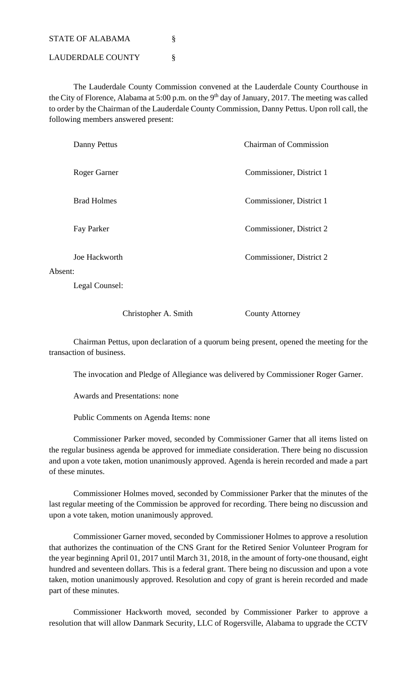STATE OF ALABAMA

LAUDERDALE COUNTY §

 The Lauderdale County Commission convened at the Lauderdale County Courthouse in the City of Florence, Alabama at 5:00 p.m. on the  $9<sup>th</sup>$  day of January, 2017. The meeting was called to order by the Chairman of the Lauderdale County Commission, Danny Pettus. Upon roll call, the following members answered present:

| Danny Pettus                                                                                                                                                                                                                                                                                                                                                                                                                                                                               | <b>Chairman of Commission</b> |
|--------------------------------------------------------------------------------------------------------------------------------------------------------------------------------------------------------------------------------------------------------------------------------------------------------------------------------------------------------------------------------------------------------------------------------------------------------------------------------------------|-------------------------------|
| Roger Garner                                                                                                                                                                                                                                                                                                                                                                                                                                                                               | Commissioner, District 1      |
| <b>Brad Holmes</b>                                                                                                                                                                                                                                                                                                                                                                                                                                                                         | Commissioner, District 1      |
| Fay Parker                                                                                                                                                                                                                                                                                                                                                                                                                                                                                 | Commissioner, District 2      |
| Joe Hackworth                                                                                                                                                                                                                                                                                                                                                                                                                                                                              | Commissioner, District 2      |
| Absent:                                                                                                                                                                                                                                                                                                                                                                                                                                                                                    |                               |
| $\blacksquare$ $\blacksquare$ $\blacksquare$ $\blacksquare$ $\blacksquare$ $\blacksquare$ $\blacksquare$ $\blacksquare$ $\blacksquare$ $\blacksquare$ $\blacksquare$ $\blacksquare$ $\blacksquare$ $\blacksquare$ $\blacksquare$ $\blacksquare$ $\blacksquare$ $\blacksquare$ $\blacksquare$ $\blacksquare$ $\blacksquare$ $\blacksquare$ $\blacksquare$ $\blacksquare$ $\blacksquare$ $\blacksquare$ $\blacksquare$ $\blacksquare$ $\blacksquare$ $\blacksquare$ $\blacksquare$ $\blacks$ |                               |

Legal Counsel:

Christopher A. Smith County Attorney

 Chairman Pettus, upon declaration of a quorum being present, opened the meeting for the transaction of business.

The invocation and Pledge of Allegiance was delivered by Commissioner Roger Garner.

Awards and Presentations: none

Public Comments on Agenda Items: none

 Commissioner Parker moved, seconded by Commissioner Garner that all items listed on the regular business agenda be approved for immediate consideration. There being no discussion and upon a vote taken, motion unanimously approved. Agenda is herein recorded and made a part of these minutes.

 Commissioner Holmes moved, seconded by Commissioner Parker that the minutes of the last regular meeting of the Commission be approved for recording. There being no discussion and upon a vote taken, motion unanimously approved.

 Commissioner Garner moved, seconded by Commissioner Holmes to approve a resolution that authorizes the continuation of the CNS Grant for the Retired Senior Volunteer Program for the year beginning April 01, 2017 until March 31, 2018, in the amount of forty-one thousand, eight hundred and seventeen dollars. This is a federal grant. There being no discussion and upon a vote taken, motion unanimously approved. Resolution and copy of grant is herein recorded and made part of these minutes.

 Commissioner Hackworth moved, seconded by Commissioner Parker to approve a resolution that will allow Danmark Security, LLC of Rogersville, Alabama to upgrade the CCTV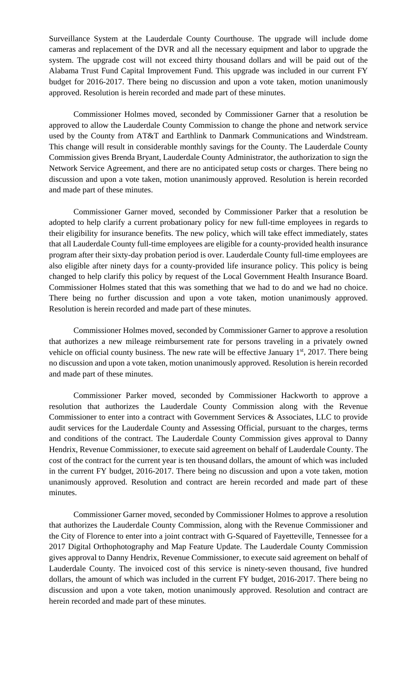Surveillance System at the Lauderdale County Courthouse. The upgrade will include dome cameras and replacement of the DVR and all the necessary equipment and labor to upgrade the system. The upgrade cost will not exceed thirty thousand dollars and will be paid out of the Alabama Trust Fund Capital Improvement Fund. This upgrade was included in our current FY budget for 2016-2017. There being no discussion and upon a vote taken, motion unanimously approved. Resolution is herein recorded and made part of these minutes.

 Commissioner Holmes moved, seconded by Commissioner Garner that a resolution be approved to allow the Lauderdale County Commission to change the phone and network service used by the County from AT&T and Earthlink to Danmark Communications and Windstream. This change will result in considerable monthly savings for the County. The Lauderdale County Commission gives Brenda Bryant, Lauderdale County Administrator, the authorization to sign the Network Service Agreement, and there are no anticipated setup costs or charges. There being no discussion and upon a vote taken, motion unanimously approved. Resolution is herein recorded and made part of these minutes.

 Commissioner Garner moved, seconded by Commissioner Parker that a resolution be adopted to help clarify a current probationary policy for new full-time employees in regards to their eligibility for insurance benefits. The new policy, which will take effect immediately, states that all Lauderdale County full-time employees are eligible for a county-provided health insurance program after their sixty-day probation period is over. Lauderdale County full-time employees are also eligible after ninety days for a county-provided life insurance policy. This policy is being changed to help clarify this policy by request of the Local Government Health Insurance Board. Commissioner Holmes stated that this was something that we had to do and we had no choice. There being no further discussion and upon a vote taken, motion unanimously approved. Resolution is herein recorded and made part of these minutes.

 Commissioner Holmes moved, seconded by Commissioner Garner to approve a resolution that authorizes a new mileage reimbursement rate for persons traveling in a privately owned vehicle on official county business. The new rate will be effective January  $1<sup>st</sup>$ , 2017. There being no discussion and upon a vote taken, motion unanimously approved. Resolution is herein recorded and made part of these minutes.

 Commissioner Parker moved, seconded by Commissioner Hackworth to approve a resolution that authorizes the Lauderdale County Commission along with the Revenue Commissioner to enter into a contract with Government Services & Associates, LLC to provide audit services for the Lauderdale County and Assessing Official, pursuant to the charges, terms and conditions of the contract. The Lauderdale County Commission gives approval to Danny Hendrix, Revenue Commissioner, to execute said agreement on behalf of Lauderdale County. The cost of the contract for the current year is ten thousand dollars, the amount of which was included in the current FY budget, 2016-2017. There being no discussion and upon a vote taken, motion unanimously approved. Resolution and contract are herein recorded and made part of these minutes.

 Commissioner Garner moved, seconded by Commissioner Holmes to approve a resolution that authorizes the Lauderdale County Commission, along with the Revenue Commissioner and the City of Florence to enter into a joint contract with G-Squared of Fayetteville, Tennessee for a 2017 Digital Orthophotography and Map Feature Update. The Lauderdale County Commission gives approval to Danny Hendrix, Revenue Commissioner, to execute said agreement on behalf of Lauderdale County. The invoiced cost of this service is ninety-seven thousand, five hundred dollars, the amount of which was included in the current FY budget, 2016-2017. There being no discussion and upon a vote taken, motion unanimously approved. Resolution and contract are herein recorded and made part of these minutes.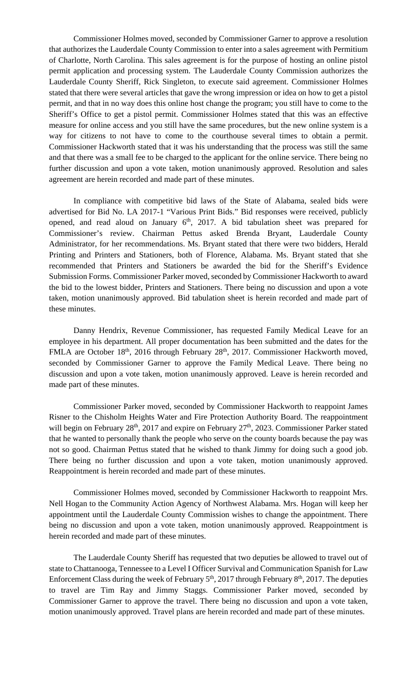Commissioner Holmes moved, seconded by Commissioner Garner to approve a resolution that authorizes the Lauderdale County Commission to enter into a sales agreement with Permitium of Charlotte, North Carolina. This sales agreement is for the purpose of hosting an online pistol permit application and processing system. The Lauderdale County Commission authorizes the Lauderdale County Sheriff, Rick Singleton, to execute said agreement. Commissioner Holmes stated that there were several articles that gave the wrong impression or idea on how to get a pistol permit, and that in no way does this online host change the program; you still have to come to the Sheriff's Office to get a pistol permit. Commissioner Holmes stated that this was an effective measure for online access and you still have the same procedures, but the new online system is a way for citizens to not have to come to the courthouse several times to obtain a permit. Commissioner Hackworth stated that it was his understanding that the process was still the same and that there was a small fee to be charged to the applicant for the online service. There being no further discussion and upon a vote taken, motion unanimously approved. Resolution and sales agreement are herein recorded and made part of these minutes.

 In compliance with competitive bid laws of the State of Alabama, sealed bids were advertised for Bid No. LA 2017-1 "Various Print Bids." Bid responses were received, publicly opened, and read aloud on January  $6<sup>th</sup>$ , 2017. A bid tabulation sheet was prepared for Commissioner's review. Chairman Pettus asked Brenda Bryant, Lauderdale County Administrator, for her recommendations. Ms. Bryant stated that there were two bidders, Herald Printing and Printers and Stationers, both of Florence, Alabama. Ms. Bryant stated that she recommended that Printers and Stationers be awarded the bid for the Sheriff's Evidence Submission Forms. Commissioner Parker moved, seconded by Commissioner Hackworth to award the bid to the lowest bidder, Printers and Stationers. There being no discussion and upon a vote taken, motion unanimously approved. Bid tabulation sheet is herein recorded and made part of these minutes.

 Danny Hendrix, Revenue Commissioner, has requested Family Medical Leave for an employee in his department. All proper documentation has been submitted and the dates for the FMLA are October 18<sup>th</sup>, 2016 through February 28<sup>th</sup>, 2017. Commissioner Hackworth moved, seconded by Commissioner Garner to approve the Family Medical Leave. There being no discussion and upon a vote taken, motion unanimously approved. Leave is herein recorded and made part of these minutes.

 Commissioner Parker moved, seconded by Commissioner Hackworth to reappoint James Risner to the Chisholm Heights Water and Fire Protection Authority Board. The reappointment will begin on February  $28<sup>th</sup>$ ,  $2017$  and expire on February  $27<sup>th</sup>$ ,  $2023$ . Commissioner Parker stated that he wanted to personally thank the people who serve on the county boards because the pay was not so good. Chairman Pettus stated that he wished to thank Jimmy for doing such a good job. There being no further discussion and upon a vote taken, motion unanimously approved. Reappointment is herein recorded and made part of these minutes.

 Commissioner Holmes moved, seconded by Commissioner Hackworth to reappoint Mrs. Nell Hogan to the Community Action Agency of Northwest Alabama. Mrs. Hogan will keep her appointment until the Lauderdale County Commission wishes to change the appointment. There being no discussion and upon a vote taken, motion unanimously approved. Reappointment is herein recorded and made part of these minutes.

 The Lauderdale County Sheriff has requested that two deputies be allowed to travel out of state to Chattanooga, Tennessee to a Level I Officer Survival and Communication Spanish for Law Enforcement Class during the week of February  $5<sup>th</sup>$ , 2017 through February  $8<sup>th</sup>$ , 2017. The deputies to travel are Tim Ray and Jimmy Staggs. Commissioner Parker moved, seconded by Commissioner Garner to approve the travel. There being no discussion and upon a vote taken, motion unanimously approved. Travel plans are herein recorded and made part of these minutes.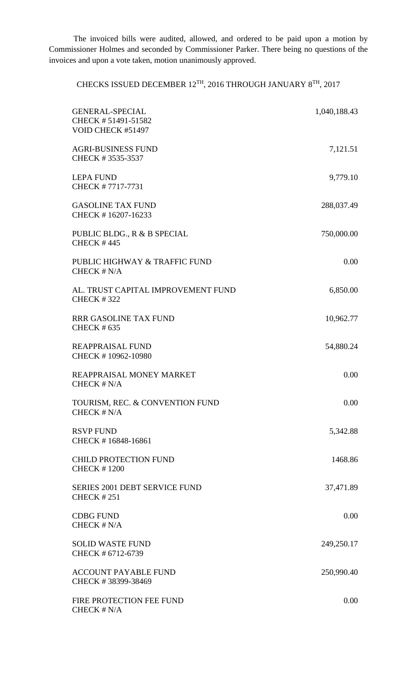The invoiced bills were audited, allowed, and ordered to be paid upon a motion by Commissioner Holmes and seconded by Commissioner Parker. There being no questions of the invoices and upon a vote taken, motion unanimously approved.

CHECKS ISSUED DECEMBER 12TH, 2016 THROUGH JANUARY 8TH, 2017

| <b>GENERAL-SPECIAL</b><br>CHECK #51491-51582<br>VOID CHECK #51497 | 1,040,188.43 |
|-------------------------------------------------------------------|--------------|
| <b>AGRI-BUSINESS FUND</b><br>CHECK #3535-3537                     | 7,121.51     |
| <b>LEPA FUND</b><br>CHECK #7717-7731                              | 9,779.10     |
| <b>GASOLINE TAX FUND</b><br>CHECK #16207-16233                    | 288,037.49   |
| PUBLIC BLDG., R & B SPECIAL<br><b>CHECK #445</b>                  | 750,000.00   |
| PUBLIC HIGHWAY & TRAFFIC FUND<br>CHECK # N/A                      | 0.00         |
| AL. TRUST CAPITAL IMPROVEMENT FUND<br><b>CHECK #322</b>           | 6,850.00     |
| <b>RRR GASOLINE TAX FUND</b><br><b>CHECK #635</b>                 | 10,962.77    |
| <b>REAPPRAISAL FUND</b><br>CHECK #10962-10980                     | 54,880.24    |
| REAPPRAISAL MONEY MARKET<br>CHECK # N/A                           | 0.00         |
| TOURISM, REC. & CONVENTION FUND<br>CHECK # N/A                    | 0.00         |
| <b>RSVP FUND</b><br>CHECK #16848-16861                            | 5,342.88     |
| <b>CHILD PROTECTION FUND</b><br><b>CHECK #1200</b>                | 1468.86      |
| <b>SERIES 2001 DEBT SERVICE FUND</b><br><b>CHECK #251</b>         | 37,471.89    |
| <b>CDBG FUND</b><br>CHECK # N/A                                   | 0.00         |
| <b>SOLID WASTE FUND</b><br>CHECK # 6712-6739                      | 249,250.17   |
| <b>ACCOUNT PAYABLE FUND</b><br>CHECK #38399-38469                 | 250,990.40   |
| FIRE PROTECTION FEE FUND<br>CHECK # N/A                           | 0.00         |